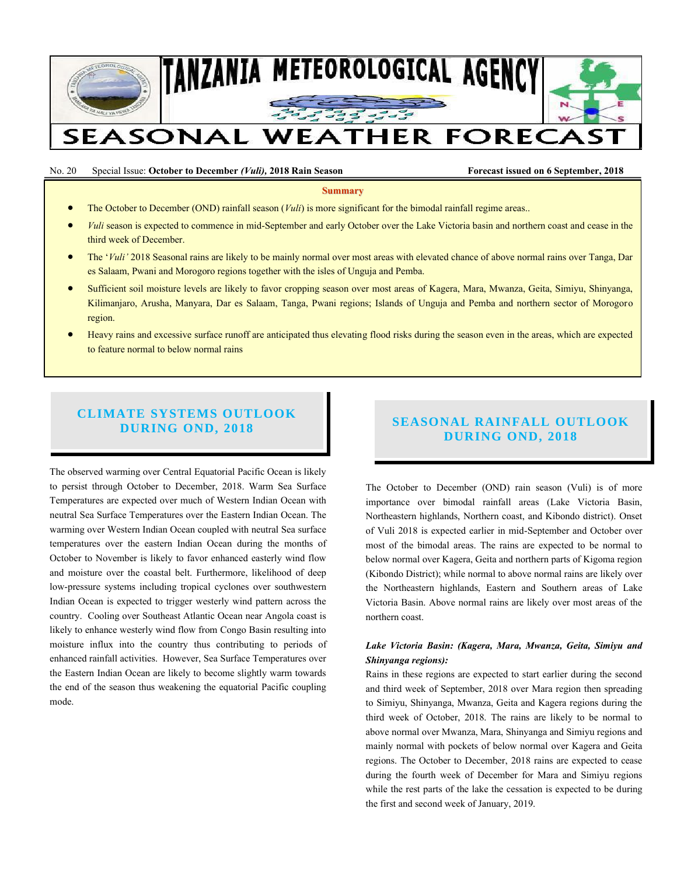

No. 20 Special Issue: **October to December** *(Vuli),* **2018 Rain Season Forecast issued on 6 September, 2018**

**Summary**

- The October to December (OND) rainfall season (*Vuli*) is more significant for the bimodal rainfall regime areas..
- *Vuli* season is expected to commence in mid-September and early October over the Lake Victoria basin and northern coast and cease in the third week of December.
- The '*Vuli'* 2018 Seasonal rains are likely to be mainly normal over most areas with elevated chance of above normal rains over Tanga, Dar es Salaam, Pwani and Morogoro regions together with the isles of Unguja and Pemba.
- Sufficient soil moisture levels are likely to favor cropping season over most areas of Kagera, Mara, Mwanza, Geita, Simiyu, Shinyanga, Kilimanjaro, Arusha, Manyara, Dar es Salaam, Tanga, Pwani regions; Islands of Unguja and Pemba and northern sector of Morogoro region.
- Heavy rains and excessive surface runoff are anticipated thus elevating flood risks during the season even in the areas, which are expected to feature normal to below normal rains

# **CLIMATE SYSTEMS OUTLOOK DURING OND, 2018**

The observed warming over Central Equatorial Pacific Ocean is likely to persist through October to December, 2018. Warm Sea Surface Temperatures are expected over much of Western Indian Ocean with neutral Sea Surface Temperatures over the Eastern Indian Ocean. The warming over Western Indian Ocean coupled with neutral Sea surface temperatures over the eastern Indian Ocean during the months of October to November is likely to favor enhanced easterly wind flow and moisture over the coastal belt. Furthermore, likelihood of deep low-pressure systems including tropical cyclones over southwestern Indian Ocean is expected to trigger westerly wind pattern across the country. Cooling over Southeast Atlantic Ocean near Angola coast is likely to enhance westerly wind flow from Congo Basin resulting into moisture influx into the country thus contributing to periods of enhanced rainfall activities. However, Sea Surface Temperatures over the Eastern Indian Ocean are likely to become slightly warm towards the end of the season thus weakening the equatorial Pacific coupling mode.

# **SEASONAL RAINFALL OUTLOOK DURING OND, 2018**

The October to December (OND) rain season (Vuli) is of more importance over bimodal rainfall areas (Lake Victoria Basin, Northeastern highlands, Northern coast, and Kibondo district). Onset of Vuli 2018 is expected earlier in mid-September and October over most of the bimodal areas. The rains are expected to be normal to below normal over Kagera, Geita and northern parts of Kigoma region (Kibondo District); while normal to above normal rains are likely over the Northeastern highlands, Eastern and Southern areas of Lake Victoria Basin. Above normal rains are likely over most areas of the northern coast.

### *Lake Victoria Basin: (Kagera, Mara, Mwanza, Geita, Simiyu and Shinyanga regions):*

Rains in these regions are expected to start earlier during the second and third week of September, 2018 over Mara region then spreading to Simiyu, Shinyanga, Mwanza, Geita and Kagera regions during the third week of October, 2018. The rains are likely to be normal to above normal over Mwanza, Mara, Shinyanga and Simiyu regions and mainly normal with pockets of below normal over Kagera and Geita regions. The October to December, 2018 rains are expected to cease during the fourth week of December for Mara and Simiyu regions while the rest parts of the lake the cessation is expected to be during the first and second week of January, 2019.